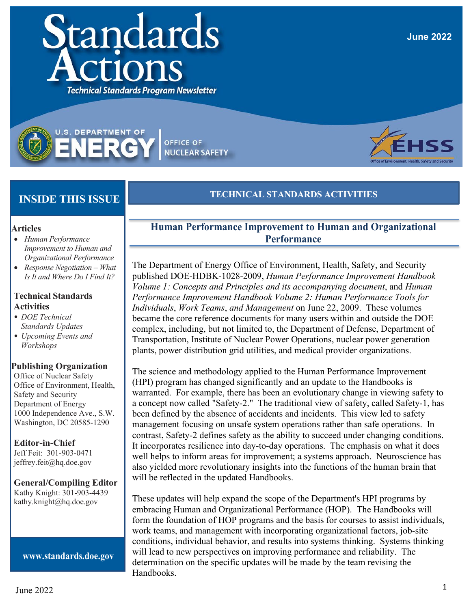### **June 2022**

# **TECHNICAL STANDARDS ACTIVITIES**

- **Articles** • *Human Performance*
- *Improvement to Human and Organizational Performance*

 **INSIDE THIS ISSUE**

**U.S. DEPARTMENT OF** 

VER

• *Response Negotiation – What Is It and Where Do I Find It?*

#### **Technical Standards Activities**

- *• DOE Technical Standards Updates*
- *• Upcoming Events and Workshops*

#### **Publishing Organization**

Office of Nuclear Safety Office of Environment, Health, Safety and Security Department of Energy 1000 Independence Ave., S.W. Washington, DC 20585-1290

#### **Editor-in-Chief**

Jeff Feit: 301-903-0471 [jeffrey.feit@hq.doe.gov](mailto:jeffrey.feit@hq.doe.gov)

#### **General/Compiling Editor**

Kathy Knight: 301-903-443[9](mailto:kathy.knight@hq.doe.gov) [kathy.knight@hq.doe.gov](mailto:kathy.knight@hq.doe.gov)

**[www.standards.doe.gov](http://www.standards.doe.gov/)**

## **Human Performance Improvement to Human and Organizational Performance**

The Department of Energy Office of Environment, Health, Safety, and Security published DOE-HDBK-1028-2009, *Human Performance Improvement Handbook Volume 1: Concepts and Principles and its accompanying document*, and *Human Performance Improvement Handbook Volume 2: Human Performance Tools for Individuals*, *Work Teams*, *and Management* on June 22, 2009. These volumes became the core reference documents for many users within and outside the DOE complex, including, but not limited to, the Department of Defense, Department of Transportation, Institute of Nuclear Power Operations, nuclear power generation plants, power distribution grid utilities, and medical provider organizations.

The science and methodology applied to the Human Performance Improvement (HPI) program has changed significantly and an update to the Handbooks is warranted. For example, there has been an evolutionary change in viewing safety to a concept now called "Safety-2." The traditional view of safety, called Safety-1, has been defined by the absence of accidents and incidents. This view led to safety management focusing on unsafe system operations rather than safe operations. In contrast, Safety-2 defines safety as the ability to succeed under changing conditions. It incorporates resilience into day-to-day operations. The emphasis on what it does well helps to inform areas for improvement; a systems approach. Neuroscience has also yielded more revolutionary insights into the functions of the human brain that will be reflected in the updated Handbooks.

These updates will help expand the scope of the Department's HPI programs by embracing Human and Organizational Performance (HOP). The Handbooks will form the foundation of HOP programs and the basis for courses to assist individuals, work teams, and management with incorporating organizational factors, job-site conditions, individual behavior, and results into systems thinking. Systems thinking will lead to new perspectives on improving performance and reliability. The determination on the specific updates will be made by the team revising the Handbooks.





**OFFICE OF** 

**NUCLEAR SAFETY**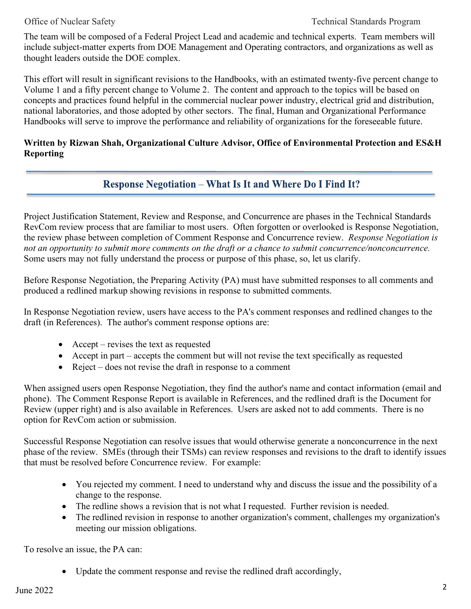The team will be composed of a Federal Project Lead and academic and technical experts. Team members will include subject-matter experts from DOE Management and Operating contractors, and organizations as well as thought leaders outside the DOE complex.

This effort will result in significant revisions to the Handbooks, with an estimated twenty-five percent change to Volume 1 and a fifty percent change to Volume 2. The content and approach to the topics will be based on concepts and practices found helpful in the commercial nuclear power industry, electrical grid and distribution, national laboratories, and those adopted by other sectors. The final, Human and Organizational Performance Handbooks will serve to improve the performance and reliability of organizations for the foreseeable future.

### **Written by Rizwan Shah, Organizational Culture Advisor, Office of Environmental Protection and ES&H Reporting**

## **Response Negotiation – What Is It and Where Do I Find It?**

Project Justification Statement, Review and Response, and Concurrence are phases in the Technical Standards RevCom review process that are familiar to most users. Often forgotten or overlooked is Response Negotiation, the review phase between completion of Comment Response and Concurrence review. *Response Negotiation is not an opportunity to submit more comments on the draft or a chance to submit concurrence/nonconcurrence.*  Some users may not fully understand the process or purpose of this phase, so, let us clarify.

Before Response Negotiation, the Preparing Activity (PA) must have submitted responses to all comments and produced a redlined markup showing revisions in response to submitted comments.

In Response Negotiation review, users have access to the PA's comment responses and redlined changes to the draft (in References). The author's comment response options are:

- Accept revises the text as requested
- Accept in part accepts the comment but will not revise the text specifically as requested
- Reject does not revise the draft in response to a comment

When assigned users open Response Negotiation, they find the author's name and contact information (email and phone). The Comment Response Report is available in References, and the redlined draft is the Document for Review (upper right) and is also available in References. Users are asked not to add comments. There is no option for RevCom action or submission.

Successful Response Negotiation can resolve issues that would otherwise generate a nonconcurrence in the next phase of the review. SMEs (through their TSMs) can review responses and revisions to the draft to identify issues that must be resolved before Concurrence review. For example:

- You rejected my comment. I need to understand why and discuss the issue and the possibility of a change to the response.
- The redline shows a revision that is not what I requested. Further revision is needed.
- The redlined revision in response to another organization's comment, challenges my organization's meeting our mission obligations.

To resolve an issue, the PA can:

• Update the comment response and revise the redlined draft accordingly,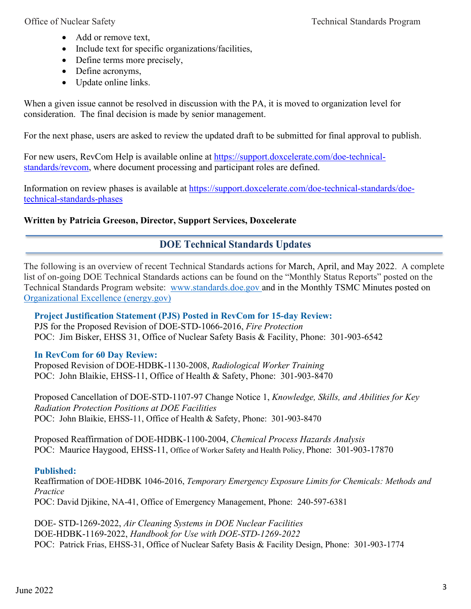- Add or remove text,
- Include text for specific organizations/facilities,
- Define terms more precisely,
- Define acronyms,
- Update online links.

When a given issue cannot be resolved in discussion with the PA, it is moved to organization level for consideration. The final decision is made by senior management.

For the next phase, users are asked to review the updated draft to be submitted for final approval to publish.

For new users, RevCom Help is available online at [https://support.doxcelerate.com/doe-technical](https://support.doxcelerate.com/doe-technical-standards/revcom)[standards/revcom,](https://support.doxcelerate.com/doe-technical-standards/revcom) where document processing and participant roles are defined.

Information on review phases is available at [https://support.doxcelerate.com/doe-technical-standards/doe](https://support.doxcelerate.com/doe-technical-standards/doe-technical-standards-phases)[technical-standards-phases](https://support.doxcelerate.com/doe-technical-standards/doe-technical-standards-phases)

## **Written by Patricia Greeson, Director, Support Services, Doxcelerate**

## **DOE Technical Standards Updates**

The following is an overview of recent Technical Standards actions for March, April, and May 2022. A complete list of on-going DOE Technical Standards actions can be found on the "Monthly Status Reports" posted on the Technical Standards Program website: [www.standards.doe.gov](http://www.standards.doe.gov/) and in the Monthly TSMC Minutes posted on [Organizational Excellence \(energy.gov\)](https://orgex.energy.gov/)

## **Project Justification Statement (PJS) Posted in RevCom for 15-day Review:**

PJS for the Proposed Revision of DOE-STD-1066-2016, *Fire Protection* POC:Jim Bisker, EHSS 31, Office of Nuclear Safety Basis & Facility, Phone: 301-903-6542

## **In RevCom for 60 Day Review:**

Proposed Revision of DOE-HDBK-1130-2008, *Radiological Worker Training*  POC: John Blaikie, EHSS-11, Office of Health & Safety, Phone: 301-903-8470

Proposed Cancellation of DOE-STD-1107-97 Change Notice 1, *Knowledge, Skills, and Abilities for Key Radiation Protection Positions at DOE Facilities* POC:John Blaikie, EHSS-11, Office of Health & Safety, Phone: 301-903-8470

Proposed Reaffirmation of DOE-HDBK-1100-2004, *Chemical Process Hazards Analysis*  POC: Maurice Haygood, EHSS-11, Office of Worker Safety and Health Policy, Phone: 301-903-17870

## **Published:**

Reaffirmation of DOE-HDBK 1046-2016, *Temporary Emergency Exposure Limits for Chemicals: Methods and Practice* POC: David Djikine, NA-41, Office of Emergency Management, Phone: 240-597-6381

DOE- STD-1269-2022, *Air Cleaning Systems in DOE Nuclear Facilities* DOE-HDBK-1169-2022, *Handbook for Use with DOE-STD-1269-2022*  POC: Patrick Frias, EHSS-31, Office of Nuclear Safety Basis & Facility Design, Phone: 301-903-1774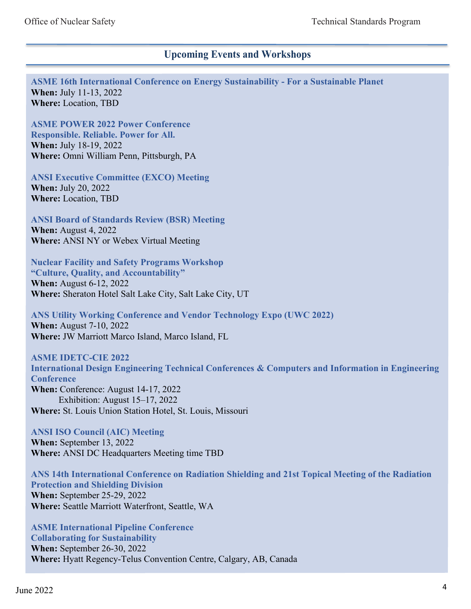## **Upcoming Events and Workshops**

**ASME 16th International Conference on Energy Sustainability - For a Sustainable Planet When:** July 11-13, 2022 **Where:** Location, TBD

**ASME POWER 2022 Power Conference Responsible. Reliable. Power for All. When:** July 18-19, 2022 **Where:** Omni William Penn, Pittsburgh, PA

**ANSI Executive Committee (EXCO) Meeting When:** July 20, 2022 **Where:** Location, TBD

**ANSI Board of Standards Review (BSR) Meeting When:** August 4, 2022 **Where:** ANSI NY or Webex Virtual Meeting

**Nuclear Facility and Safety Programs Workshop "Culture, Quality, and Accountability" When:** August 6-12, 2022 **Where:** Sheraton Hotel Salt Lake City, Salt Lake City, UT

**ANS Utility Working Conference and Vendor Technology Expo (UWC 2022) When:** August 7-10, 2022 **Where:** JW Marriott Marco Island, Marco Island, FL

**ASME IDETC-CIE 2022 International Design Engineering Technical Conferences & Computers and Information in Engineering Conference When:** Conference: August 14-17, 2022 Exhibition: August 15–17, 2022 **Where:** St. Louis Union Station Hotel, St. Louis, Missouri

**ANSI ISO Council (AIC) Meeting When:** September 13, 2022 **Where:** ANSI DC Headquarters Meeting time TBD

**ANS 14th International Conference on Radiation Shielding and 21st Topical Meeting of the Radiation Protection and Shielding Division When:** September 25-29, 2022 **Where:** Seattle Marriott Waterfront, Seattle, WA

**ASME International Pipeline Conference Collaborating for Sustainability When:** September 26-30, 2022 **Where:** Hyatt Regency-Telus Convention Centre, Calgary, AB, Canada